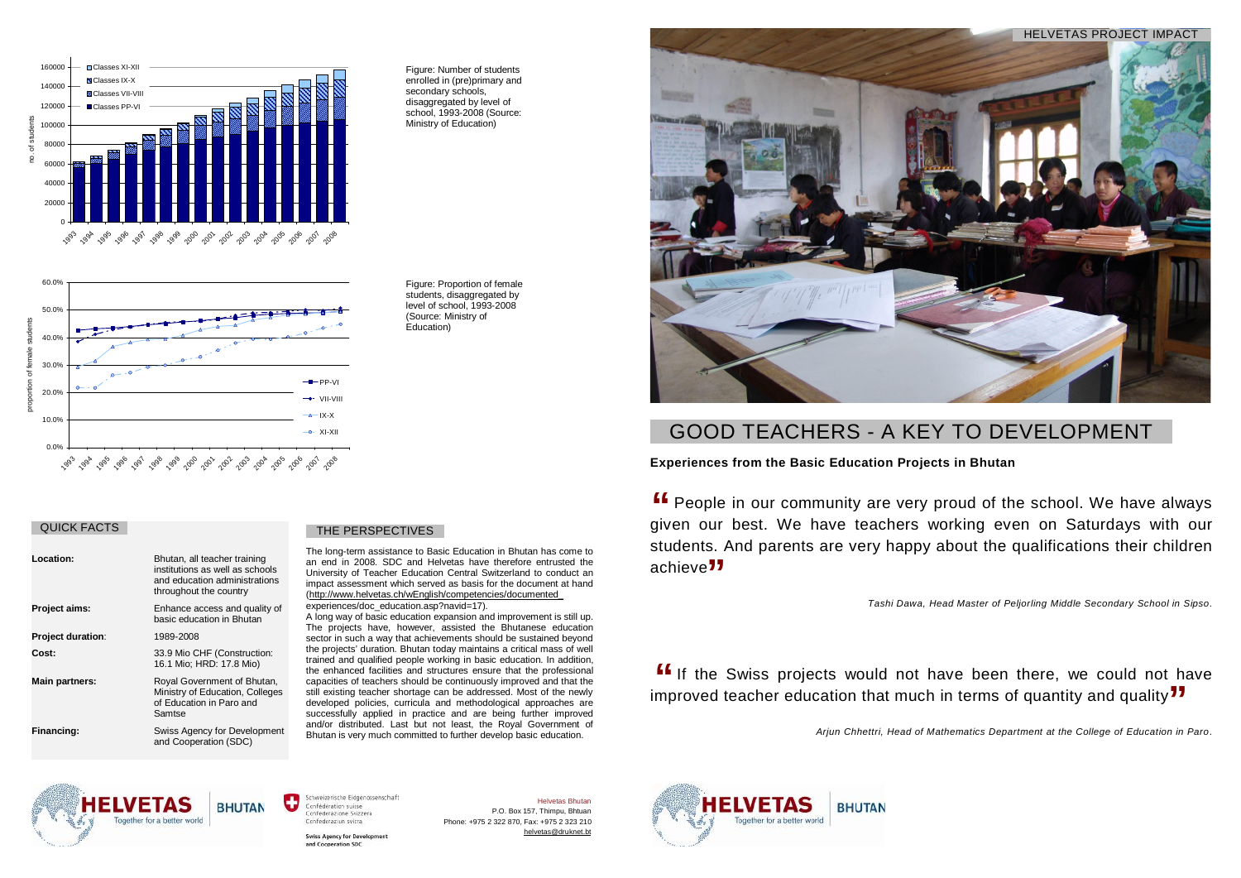# **Experiences from the Basic Education Projects in Bhutan**

**ff** People in our community are very proud of the school. We have always nive and  $\frac{1}{2}$  People in our community are very proud of the school. We have always given our best. We have teachers working even on Saturdays with our students. And parents are very happy about the qualifications their children<br>achieve<sup>11</sup> achieve<sup>"</sup>

**If** If the Swiss projects would not have been there, we could not have moroved teacher education that much in terms of quantity and quality **77** improved teacher education that much in terms of quantity and quality<sup>77</sup>

Helvetas Bhutan P.O. Box 157, Thimpu, Bhtuan Phone: +975 2 322 870, Fax: +975 2 323 210 helvetas@druknet.ht



*Tashi Dawa, Head Master of Peljorling Middle Secondary School in Sipso*.

*Arjun Chhettri, Head of Mathematics Department at the College of Education in Paro*.



Schweizerische Eidgenossenschaft Confédération suisse Confederazione Svizzera Confederaziun svizra

and Cooperation SDC

**Swiss Agency for Developm** 



# GOOD TEACHERS - A KEY TO DEVELOPMENT

The long-term assistance to Basic Education in Bhutan has come to an end in 2008. SDC and Helvetas have therefore entrusted the University of Teacher Education Central Switzerland to conduct an impact assessment which served as basis for the document at hand ([http://www.helvetas.ch/wEnglish/competencies/documented\\_](http://www.helvetas.ch/wEnglish/competencies/documented_) experiences/doc\_education.asp?navid=17).

A long way of basic education expansion and improvement is still up. The projects have, however, assisted the Bhutanese education sector in such a way that achievements should be sustained beyond the projects' duration. Bhutan today maintains a critical mass of well trained and qualified people working in basic education. In addition, the enhanced facilities and structures ensure that the professional capacities of teachers should be continuously improved and that the still existing teacher shortage can be addressed. Most of the newly developed policies, curricula and methodological approaches are successfully applied in practice and are being further improved and/or distributed. Last but not least, the Royal Government of Bhutan is very much committed to further develop basic education.

| Location:                | Bhutan, all teacher training<br>institutions as well as schools<br>and education administrations<br>throughout the country |
|--------------------------|----------------------------------------------------------------------------------------------------------------------------|
| <b>Project aims:</b>     | Enhance access and quality of<br>basic education in Bhutan                                                                 |
| <b>Project duration:</b> | 1989-2008                                                                                                                  |
| Cost:                    | 33.9 Mio CHF (Construction:<br>16.1 Mio; HRD: 17.8 Mio)                                                                    |
| Main partners:           | Royal Government of Bhutan,<br>Ministry of Education, Colleges<br>of Education in Paro and<br>Samtse                       |
| Financing:               | Swiss Agency for Development<br>and Cooperation (SDC)                                                                      |

## THE PERSPECTIVES

Figure: Number of students enrolled in (pre)primary and secondary schools, disaggregated by level of school, 1993-2008 (Source: Ministry of Education)







# QUICK FACTS